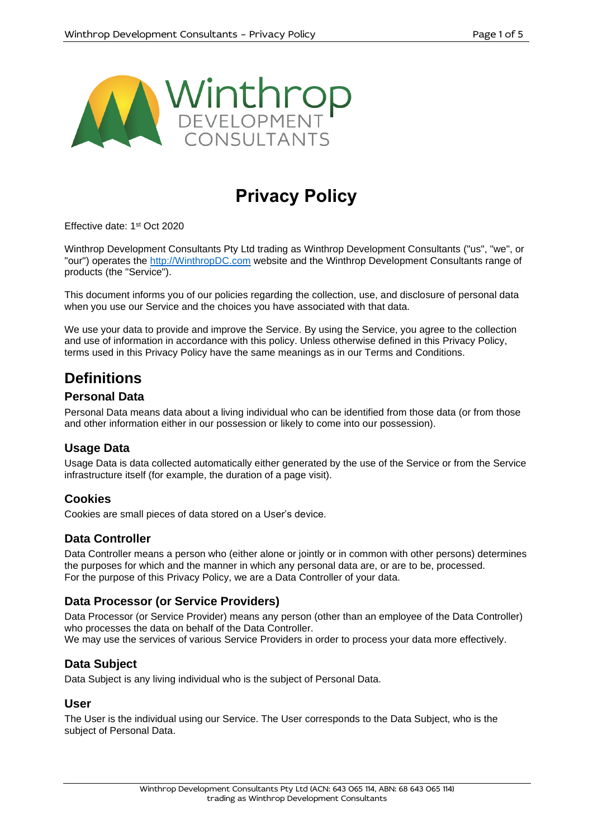

# **Privacy Policy**

Effective date: 1st Oct 2020

Winthrop Development Consultants Pty Ltd trading as Winthrop Development Consultants ("us", "we", or "our") operates the [http://WinthropDC.com](http://winthropdc.com/) website and the Winthrop Development Consultants range of products (the "Service").

This document informs you of our policies regarding the collection, use, and disclosure of personal data when you use our Service and the choices you have associated with that data.

We use your data to provide and improve the Service. By using the Service, you agree to the collection and use of information in accordance with this policy. Unless otherwise defined in this Privacy Policy, terms used in this Privacy Policy have the same meanings as in our Terms and Conditions.

### **Definitions**

#### **Personal Data**

Personal Data means data about a living individual who can be identified from those data (or from those and other information either in our possession or likely to come into our possession).

#### **Usage Data**

Usage Data is data collected automatically either generated by the use of the Service or from the Service infrastructure itself (for example, the duration of a page visit).

#### **Cookies**

Cookies are small pieces of data stored on a User's device.

#### **Data Controller**

Data Controller means a person who (either alone or jointly or in common with other persons) determines the purposes for which and the manner in which any personal data are, or are to be, processed. For the purpose of this Privacy Policy, we are a Data Controller of your data.

#### **Data Processor (or Service Providers)**

Data Processor (or Service Provider) means any person (other than an employee of the Data Controller) who processes the data on behalf of the Data Controller.

We may use the services of various Service Providers in order to process your data more effectively.

#### **Data Subject**

Data Subject is any living individual who is the subject of Personal Data.

#### **User**

The User is the individual using our Service. The User corresponds to the Data Subject, who is the subject of Personal Data.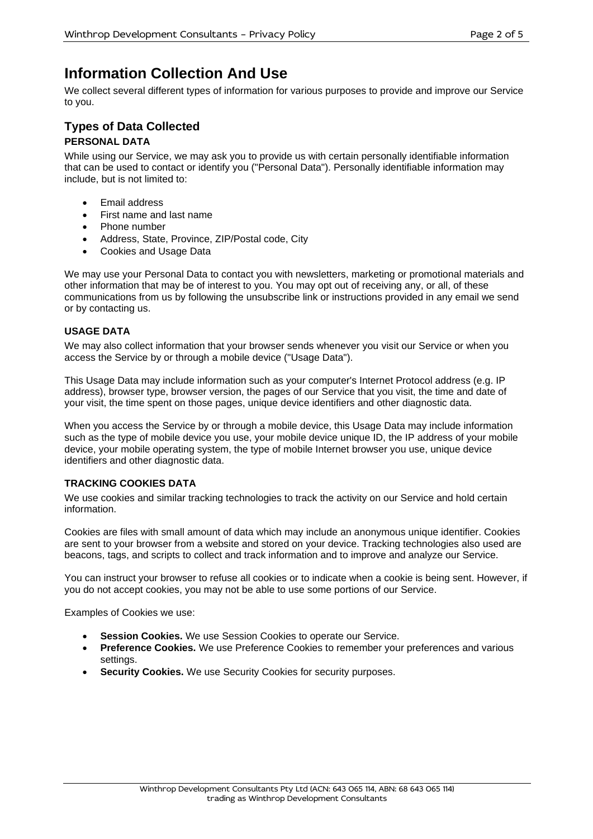### **Information Collection And Use**

We collect several different types of information for various purposes to provide and improve our Service to you.

#### **Types of Data Collected PERSONAL DATA**

While using our Service, we may ask you to provide us with certain personally identifiable information that can be used to contact or identify you ("Personal Data"). Personally identifiable information may include, but is not limited to:

- Email address
- First name and last name
- Phone number
- Address, State, Province, ZIP/Postal code, City
- Cookies and Usage Data

We may use your Personal Data to contact you with newsletters, marketing or promotional materials and other information that may be of interest to you. You may opt out of receiving any, or all, of these communications from us by following the unsubscribe link or instructions provided in any email we send or by contacting us.

#### **USAGE DATA**

We may also collect information that your browser sends whenever you visit our Service or when you access the Service by or through a mobile device ("Usage Data").

This Usage Data may include information such as your computer's Internet Protocol address (e.g. IP address), browser type, browser version, the pages of our Service that you visit, the time and date of your visit, the time spent on those pages, unique device identifiers and other diagnostic data.

When you access the Service by or through a mobile device, this Usage Data may include information such as the type of mobile device you use, your mobile device unique ID, the IP address of your mobile device, your mobile operating system, the type of mobile Internet browser you use, unique device identifiers and other diagnostic data.

#### **TRACKING COOKIES DATA**

We use cookies and similar tracking technologies to track the activity on our Service and hold certain information.

Cookies are files with small amount of data which may include an anonymous unique identifier. Cookies are sent to your browser from a website and stored on your device. Tracking technologies also used are beacons, tags, and scripts to collect and track information and to improve and analyze our Service.

You can instruct your browser to refuse all cookies or to indicate when a cookie is being sent. However, if you do not accept cookies, you may not be able to use some portions of our Service.

Examples of Cookies we use:

- **Session Cookies.** We use Session Cookies to operate our Service.
- **Preference Cookies.** We use Preference Cookies to remember your preferences and various settings.
- **Security Cookies.** We use Security Cookies for security purposes.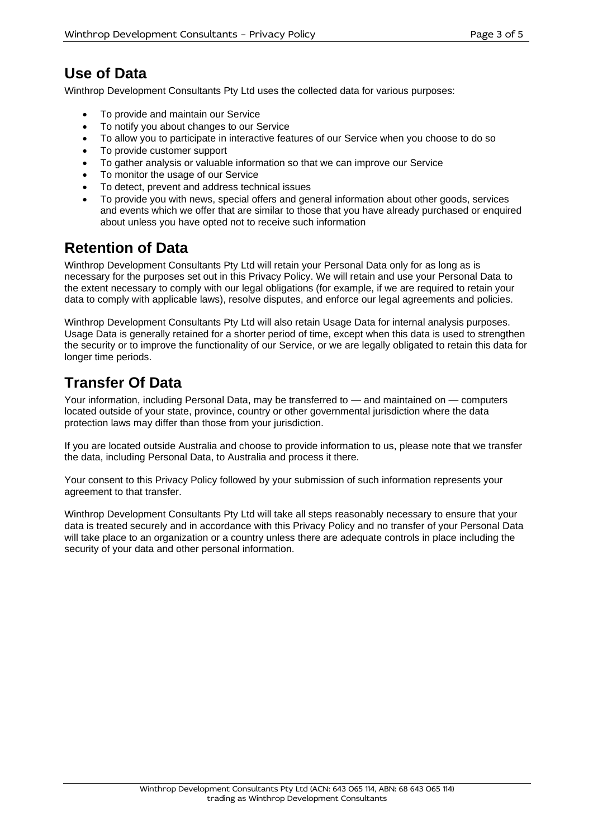### **Use of Data**

Winthrop Development Consultants Pty Ltd uses the collected data for various purposes:

- To provide and maintain our Service
- To notify you about changes to our Service
- To allow you to participate in interactive features of our Service when you choose to do so
- To provide customer support
- To gather analysis or valuable information so that we can improve our Service
- To monitor the usage of our Service
- To detect, prevent and address technical issues
- To provide you with news, special offers and general information about other goods, services and events which we offer that are similar to those that you have already purchased or enquired about unless you have opted not to receive such information

### **Retention of Data**

Winthrop Development Consultants Pty Ltd will retain your Personal Data only for as long as is necessary for the purposes set out in this Privacy Policy. We will retain and use your Personal Data to the extent necessary to comply with our legal obligations (for example, if we are required to retain your data to comply with applicable laws), resolve disputes, and enforce our legal agreements and policies.

Winthrop Development Consultants Pty Ltd will also retain Usage Data for internal analysis purposes. Usage Data is generally retained for a shorter period of time, except when this data is used to strengthen the security or to improve the functionality of our Service, or we are legally obligated to retain this data for longer time periods.

### **Transfer Of Data**

Your information, including Personal Data, may be transferred to — and maintained on — computers located outside of your state, province, country or other governmental jurisdiction where the data protection laws may differ than those from your jurisdiction.

If you are located outside Australia and choose to provide information to us, please note that we transfer the data, including Personal Data, to Australia and process it there.

Your consent to this Privacy Policy followed by your submission of such information represents your agreement to that transfer.

Winthrop Development Consultants Pty Ltd will take all steps reasonably necessary to ensure that your data is treated securely and in accordance with this Privacy Policy and no transfer of your Personal Data will take place to an organization or a country unless there are adequate controls in place including the security of your data and other personal information.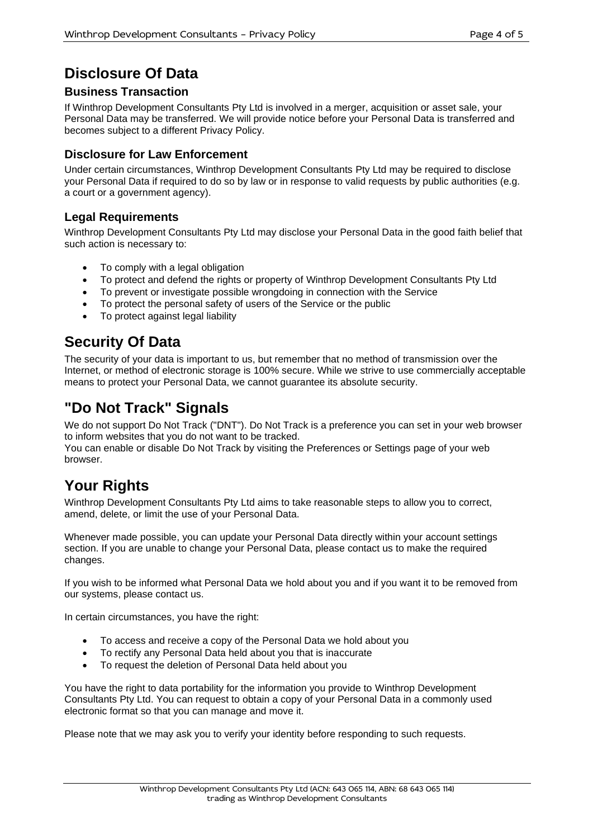### **Disclosure Of Data**

#### **Business Transaction**

If Winthrop Development Consultants Pty Ltd is involved in a merger, acquisition or asset sale, your Personal Data may be transferred. We will provide notice before your Personal Data is transferred and becomes subject to a different Privacy Policy.

#### **Disclosure for Law Enforcement**

Under certain circumstances, Winthrop Development Consultants Pty Ltd may be required to disclose your Personal Data if required to do so by law or in response to valid requests by public authorities (e.g. a court or a government agency).

#### **Legal Requirements**

Winthrop Development Consultants Pty Ltd may disclose your Personal Data in the good faith belief that such action is necessary to:

- To comply with a legal obligation
- To protect and defend the rights or property of Winthrop Development Consultants Pty Ltd
- To prevent or investigate possible wrongdoing in connection with the Service
- To protect the personal safety of users of the Service or the public
- To protect against legal liability

### **Security Of Data**

The security of your data is important to us, but remember that no method of transmission over the Internet, or method of electronic storage is 100% secure. While we strive to use commercially acceptable means to protect your Personal Data, we cannot guarantee its absolute security.

### **"Do Not Track" Signals**

We do not support Do Not Track ("DNT"). Do Not Track is a preference you can set in your web browser to inform websites that you do not want to be tracked.

You can enable or disable Do Not Track by visiting the Preferences or Settings page of your web browser.

### **Your Rights**

Winthrop Development Consultants Pty Ltd aims to take reasonable steps to allow you to correct, amend, delete, or limit the use of your Personal Data.

Whenever made possible, you can update your Personal Data directly within your account settings section. If you are unable to change your Personal Data, please contact us to make the required changes.

If you wish to be informed what Personal Data we hold about you and if you want it to be removed from our systems, please contact us.

In certain circumstances, you have the right:

- To access and receive a copy of the Personal Data we hold about you
- To rectify any Personal Data held about you that is inaccurate
- To request the deletion of Personal Data held about you

You have the right to data portability for the information you provide to Winthrop Development Consultants Pty Ltd. You can request to obtain a copy of your Personal Data in a commonly used electronic format so that you can manage and move it.

Please note that we may ask you to verify your identity before responding to such requests.